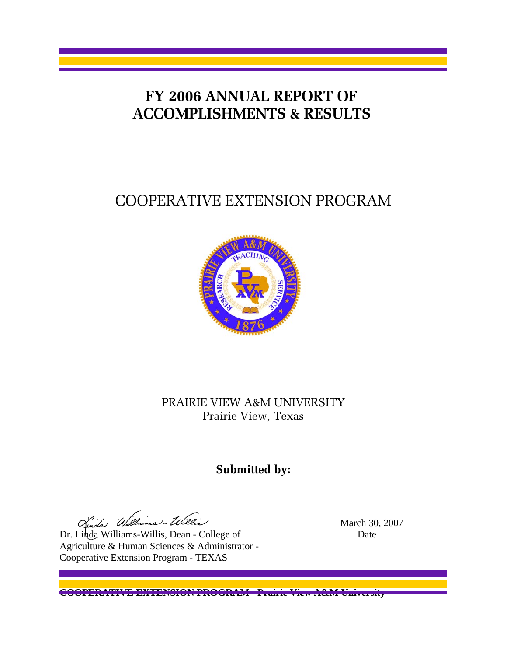## **FY 2006 ANNUAL REPORT OF ACCOMPLISHMENTS & RESULTS**

# COOPERATIVE EXTENSION PROGRAM



## PRAIRIE VIEW A&M UNIVERSITY Prairie View, Texas

## **Submitted by:**

Ginda Williams-William March 30, 2007

Dr. Linda Williams-Willis, Dean - College of Date Agriculture & Human Sciences & Administrator - Cooperative Extension Program - TEXAS

**COOPERATIVE EXTENSION PROGRAM - Prairie View A&M University**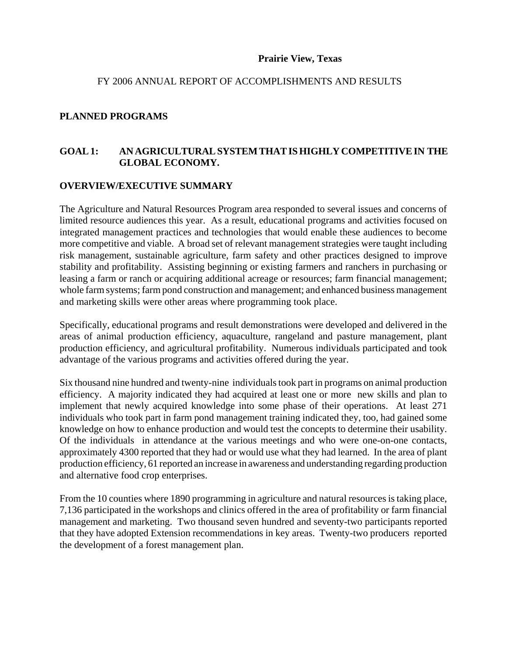#### **Prairie View, Texas**

#### FY 2006 ANNUAL REPORT OF ACCOMPLISHMENTS AND RESULTS

#### **PLANNED PROGRAMS**

#### **GOAL 1: AN AGRICULTURAL SYSTEM THAT IS HIGHLY COMPETITIVE IN THE GLOBAL ECONOMY.**

#### **OVERVIEW/EXECUTIVE SUMMARY**

The Agriculture and Natural Resources Program area responded to several issues and concerns of limited resource audiences this year. As a result, educational programs and activities focused on integrated management practices and technologies that would enable these audiences to become more competitive and viable. A broad set of relevant management strategies were taught including risk management, sustainable agriculture, farm safety and other practices designed to improve stability and profitability. Assisting beginning or existing farmers and ranchers in purchasing or leasing a farm or ranch or acquiring additional acreage or resources; farm financial management; whole farm systems; farm pond construction and management; and enhanced business management and marketing skills were other areas where programming took place.

Specifically, educational programs and result demonstrations were developed and delivered in the areas of animal production efficiency, aquaculture, rangeland and pasture management, plant production efficiency, and agricultural profitability. Numerous individuals participated and took advantage of the various programs and activities offered during the year.

Six thousand nine hundred and twenty-nine individuals took part in programs on animal production efficiency. A majority indicated they had acquired at least one or more new skills and plan to implement that newly acquired knowledge into some phase of their operations. At least 271 individuals who took part in farm pond management training indicated they, too, had gained some knowledge on how to enhance production and would test the concepts to determine their usability. Of the individuals in attendance at the various meetings and who were one-on-one contacts, approximately 4300 reported that they had or would use what they had learned. In the area of plant production efficiency, 61 reported an increase in awareness and understanding regarding production and alternative food crop enterprises.

From the 10 counties where 1890 programming in agriculture and natural resources is taking place, 7,136 participated in the workshops and clinics offered in the area of profitability or farm financial management and marketing. Two thousand seven hundred and seventy-two participants reported that they have adopted Extension recommendations in key areas. Twenty-two producers reported the development of a forest management plan.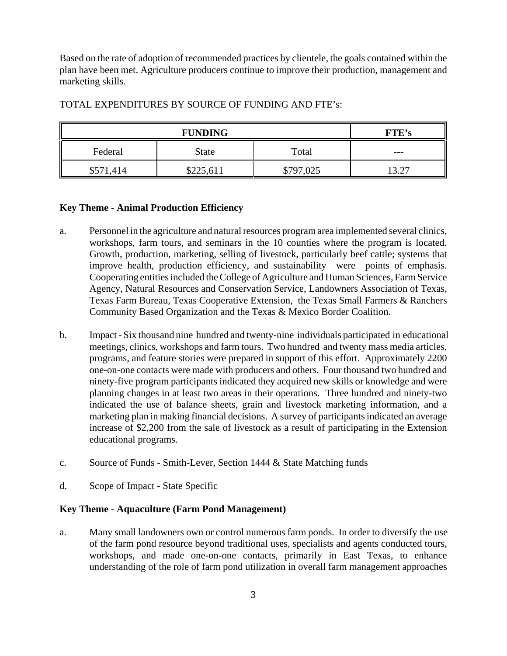Based on the rate of adoption of recommended practices by clientele, the goals contained within the plan have been met. Agriculture producers continue to improve their production, management and marketing skills.

| <b>FUNDING</b> |              |           | <b>FTE's</b>  |
|----------------|--------------|-----------|---------------|
| Federal        | <b>State</b> | Total     | $- - -$       |
| \$571,414      | \$225,611    | \$797,025 | 13 77<br>ے. ۔ |

#### TOTAL EXPENDITURES BY SOURCE OF FUNDING AND FTE's:

#### **Key Theme - Animal Production Efficiency**

- a. Personnel in the agriculture and natural resources program area implemented several clinics, workshops, farm tours, and seminars in the 10 counties where the program is located. Growth, production, marketing, selling of livestock, particularly beef cattle; systems that improve health, production efficiency, and sustainability were points of emphasis. Cooperating entities included the College of Agriculture and Human Sciences, Farm Service Agency, Natural Resources and Conservation Service, Landowners Association of Texas, Texas Farm Bureau, Texas Cooperative Extension, the Texas Small Farmers & Ranchers Community Based Organization and the Texas & Mexico Border Coalition.
- b. Impact Six thousand nine hundred and twenty-nine individuals participated in educational meetings, clinics, workshops and farm tours. Two hundred and twenty mass media articles, programs, and feature stories were prepared in support of this effort. Approximately 2200 one-on-one contacts were made with producers and others. Four thousand two hundred and ninety-five program participants indicated they acquired new skills or knowledge and were planning changes in at least two areas in their operations. Three hundred and ninety-two indicated the use of balance sheets, grain and livestock marketing information, and a marketing plan in making financial decisions. A survey of participants indicated an average increase of \$2,200 from the sale of livestock as a result of participating in the Extension educational programs.
- c. Source of Funds Smith-Lever, Section 1444 & State Matching funds
- d. Scope of Impact State Specific

#### **Key Theme - Aquaculture (Farm Pond Management)**

a. Many small landowners own or control numerous farm ponds. In order to diversify the use of the farm pond resource beyond traditional uses, specialists and agents conducted tours, workshops, and made one-on-one contacts, primarily in East Texas, to enhance understanding of the role of farm pond utilization in overall farm management approaches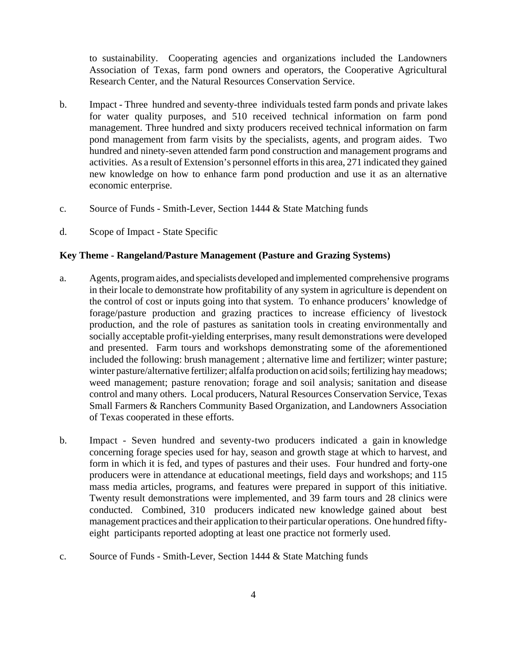to sustainability. Cooperating agencies and organizations included the Landowners Association of Texas, farm pond owners and operators, the Cooperative Agricultural Research Center, and the Natural Resources Conservation Service.

- b. Impact Three hundred and seventy-three individuals tested farm ponds and private lakes for water quality purposes, and 510 received technical information on farm pond management. Three hundred and sixty producers received technical information on farm pond management from farm visits by the specialists, agents, and program aides. Two hundred and ninety-seven attended farm pond construction and management programs and activities. As a result of Extension's personnel efforts in this area, 271 indicated they gained new knowledge on how to enhance farm pond production and use it as an alternative economic enterprise.
- c. Source of Funds Smith-Lever, Section 1444 & State Matching funds
- d. Scope of Impact State Specific

#### **Key Theme - Rangeland/Pasture Management (Pasture and Grazing Systems)**

- a. Agents, program aides, and specialists developed and implemented comprehensive programs in their locale to demonstrate how profitability of any system in agriculture is dependent on the control of cost or inputs going into that system. To enhance producers' knowledge of forage/pasture production and grazing practices to increase efficiency of livestock production, and the role of pastures as sanitation tools in creating environmentally and socially acceptable profit-yielding enterprises, many result demonstrations were developed and presented. Farm tours and workshops demonstrating some of the aforementioned included the following: brush management ; alternative lime and fertilizer; winter pasture; winter pasture/alternative fertilizer; alfalfa production on acid soils; fertilizing hay meadows; weed management; pasture renovation; forage and soil analysis; sanitation and disease control and many others. Local producers, Natural Resources Conservation Service, Texas Small Farmers & Ranchers Community Based Organization, and Landowners Association of Texas cooperated in these efforts.
- b. Impact Seven hundred and seventy-two producers indicated a gain in knowledge concerning forage species used for hay, season and growth stage at which to harvest, and form in which it is fed, and types of pastures and their uses. Four hundred and forty-one producers were in attendance at educational meetings, field days and workshops; and 115 mass media articles, programs, and features were prepared in support of this initiative. Twenty result demonstrations were implemented, and 39 farm tours and 28 clinics were conducted. Combined, 310 producers indicated new knowledge gained about best management practices and their application to their particular operations. One hundred fiftyeight participants reported adopting at least one practice not formerly used.
- c. Source of Funds Smith-Lever, Section 1444 & State Matching funds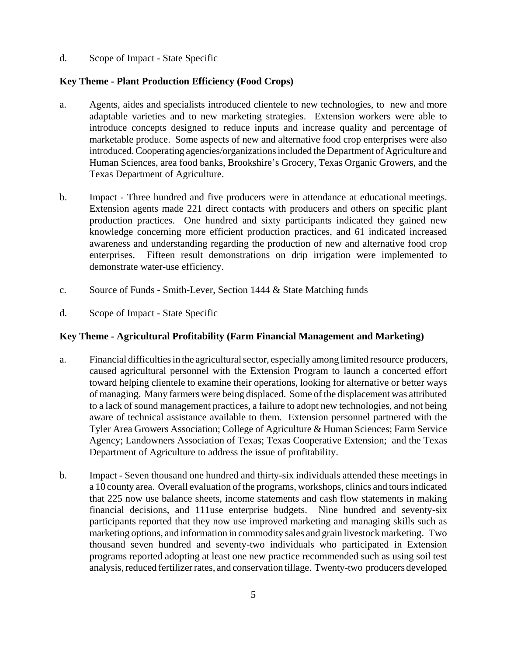d. Scope of Impact - State Specific

#### **Key Theme - Plant Production Efficiency (Food Crops)**

- a. Agents, aides and specialists introduced clientele to new technologies, to new and more adaptable varieties and to new marketing strategies. Extension workers were able to introduce concepts designed to reduce inputs and increase quality and percentage of marketable produce. Some aspects of new and alternative food crop enterprises were also introduced. Cooperating agencies/organizations included the Department of Agriculture and Human Sciences, area food banks, Brookshire's Grocery, Texas Organic Growers, and the Texas Department of Agriculture.
- b. Impact Three hundred and five producers were in attendance at educational meetings. Extension agents made 221 direct contacts with producers and others on specific plant production practices. One hundred and sixty participants indicated they gained new knowledge concerning more efficient production practices, and 61 indicated increased awareness and understanding regarding the production of new and alternative food crop enterprises. Fifteen result demonstrations on drip irrigation were implemented to demonstrate water-use efficiency.
- c. Source of Funds Smith-Lever, Section 1444 & State Matching funds
- d. Scope of Impact State Specific

#### **Key Theme - Agricultural Profitability (Farm Financial Management and Marketing)**

- a. Financial difficulties in the agricultural sector, especially among limited resource producers, caused agricultural personnel with the Extension Program to launch a concerted effort toward helping clientele to examine their operations, looking for alternative or better ways of managing. Many farmers were being displaced. Some of the displacement was attributed to a lack of sound management practices, a failure to adopt new technologies, and not being aware of technical assistance available to them. Extension personnel partnered with the Tyler Area Growers Association; College of Agriculture & Human Sciences; Farm Service Agency; Landowners Association of Texas; Texas Cooperative Extension; and the Texas Department of Agriculture to address the issue of profitability.
- b. Impact Seven thousand one hundred and thirty-six individuals attended these meetings in a 10 county area. Overall evaluation of the programs, workshops, clinics and tours indicated that 225 now use balance sheets, income statements and cash flow statements in making financial decisions, and 111use enterprise budgets. Nine hundred and seventy-six participants reported that they now use improved marketing and managing skills such as marketing options, and information in commodity sales and grain livestock marketing. Two thousand seven hundred and seventy-two individuals who participated in Extension programs reported adopting at least one new practice recommended such as using soil test analysis, reduced fertilizer rates, and conservation tillage. Twenty-two producers developed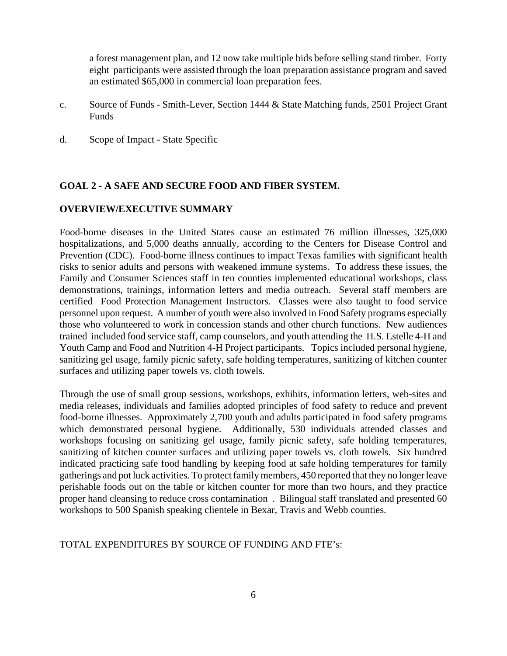a forest management plan, and 12 now take multiple bids before selling stand timber. Forty eight participants were assisted through the loan preparation assistance program and saved an estimated \$65,000 in commercial loan preparation fees.

- c. Source of Funds Smith-Lever, Section 1444 & State Matching funds, 2501 Project Grant **Funds**
- d. Scope of Impact State Specific

#### **GOAL 2 - A SAFE AND SECURE FOOD AND FIBER SYSTEM.**

#### **OVERVIEW/EXECUTIVE SUMMARY**

Food-borne diseases in the United States cause an estimated 76 million illnesses, 325,000 hospitalizations, and 5,000 deaths annually, according to the Centers for Disease Control and Prevention (CDC). Food-borne illness continues to impact Texas families with significant health risks to senior adults and persons with weakened immune systems. To address these issues, the Family and Consumer Sciences staff in ten counties implemented educational workshops, class demonstrations, trainings, information letters and media outreach. Several staff members are certified Food Protection Management Instructors. Classes were also taught to food service personnel upon request. A number of youth were also involved in Food Safety programs especially those who volunteered to work in concession stands and other church functions. New audiences trained included food service staff, camp counselors, and youth attending the H.S. Estelle 4-H and Youth Camp and Food and Nutrition 4-H Project participants. Topics included personal hygiene, sanitizing gel usage, family picnic safety, safe holding temperatures, sanitizing of kitchen counter surfaces and utilizing paper towels vs. cloth towels.

Through the use of small group sessions, workshops, exhibits, information letters, web-sites and media releases, individuals and families adopted principles of food safety to reduce and prevent food-borne illnesses. Approximately 2,700 youth and adults participated in food safety programs which demonstrated personal hygiene. Additionally, 530 individuals attended classes and workshops focusing on sanitizing gel usage, family picnic safety, safe holding temperatures, sanitizing of kitchen counter surfaces and utilizing paper towels vs. cloth towels. Six hundred indicated practicing safe food handling by keeping food at safe holding temperatures for family gatherings and pot luck activities. To protect family members, 450 reported that they no longer leave perishable foods out on the table or kitchen counter for more than two hours, and they practice proper hand cleansing to reduce cross contamination . Bilingual staff translated and presented 60 workshops to 500 Spanish speaking clientele in Bexar, Travis and Webb counties.

#### TOTAL EXPENDITURES BY SOURCE OF FUNDING AND FTE's: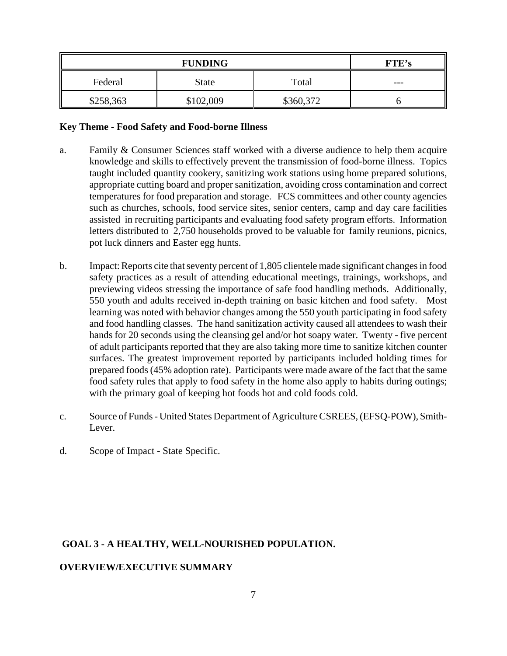| <b>FUNDING</b> |           |           | FTE's |
|----------------|-----------|-----------|-------|
| Federal        | State     | Total     | ---   |
| \$258,363      | \$102,009 | \$360,372 |       |

#### **Key Theme - Food Safety and Food-borne Illness**

- a. Family & Consumer Sciences staff worked with a diverse audience to help them acquire knowledge and skills to effectively prevent the transmission of food-borne illness. Topics taught included quantity cookery, sanitizing work stations using home prepared solutions, appropriate cutting board and proper sanitization, avoiding cross contamination and correct temperatures for food preparation and storage. FCS committees and other county agencies such as churches, schools, food service sites, senior centers, camp and day care facilities assisted in recruiting participants and evaluating food safety program efforts. Information letters distributed to 2,750 households proved to be valuable for family reunions, picnics, pot luck dinners and Easter egg hunts.
- b. Impact: Reports cite that seventy percent of 1,805 clientele made significant changes in food safety practices as a result of attending educational meetings, trainings, workshops, and previewing videos stressing the importance of safe food handling methods. Additionally, 550 youth and adults received in-depth training on basic kitchen and food safety. Most learning was noted with behavior changes among the 550 youth participating in food safety and food handling classes. The hand sanitization activity caused all attendees to wash their hands for 20 seconds using the cleansing gel and/or hot soapy water. Twenty - five percent of adult participants reported that they are also taking more time to sanitize kitchen counter surfaces. The greatest improvement reported by participants included holding times for prepared foods (45% adoption rate). Participants were made aware of the fact that the same food safety rules that apply to food safety in the home also apply to habits during outings; with the primary goal of keeping hot foods hot and cold foods cold.
- c. Source of Funds United States Department of Agriculture CSREES, (EFSQ-POW), Smith-Lever.
- d. Scope of Impact State Specific.

#### **GOAL 3 - A HEALTHY, WELL-NOURISHED POPULATION.**

#### **OVERVIEW/EXECUTIVE SUMMARY**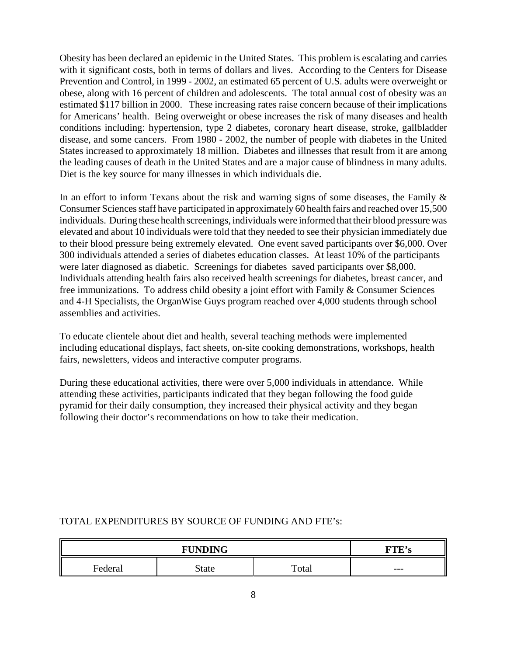Obesity has been declared an epidemic in the United States. This problem is escalating and carries with it significant costs, both in terms of dollars and lives. According to the Centers for Disease Prevention and Control, in 1999 - 2002, an estimated 65 percent of U.S. adults were overweight or obese, along with 16 percent of children and adolescents. The total annual cost of obesity was an estimated \$117 billion in 2000. These increasing rates raise concern because of their implications for Americans' health. Being overweight or obese increases the risk of many diseases and health conditions including: hypertension, type 2 diabetes, coronary heart disease, stroke, gallbladder disease, and some cancers. From 1980 - 2002, the number of people with diabetes in the United States increased to approximately 18 million. Diabetes and illnesses that result from it are among the leading causes of death in the United States and are a major cause of blindness in many adults. Diet is the key source for many illnesses in which individuals die.

In an effort to inform Texans about the risk and warning signs of some diseases, the Family  $\&$ Consumer Sciences staff have participated in approximately 60 health fairs and reached over 15,500 individuals. During these health screenings, individuals were informed that their blood pressure was elevated and about 10 individuals were told that they needed to see their physician immediately due to their blood pressure being extremely elevated. One event saved participants over \$6,000. Over 300 individuals attended a series of diabetes education classes. At least 10% of the participants were later diagnosed as diabetic. Screenings for diabetes saved participants over \$8,000. Individuals attending health fairs also received health screenings for diabetes, breast cancer, and free immunizations. To address child obesity a joint effort with Family & Consumer Sciences and 4-H Specialists, the OrganWise Guys program reached over 4,000 students through school assemblies and activities.

To educate clientele about diet and health, several teaching methods were implemented including educational displays, fact sheets, on-site cooking demonstrations, workshops, health fairs, newsletters, videos and interactive computer programs.

During these educational activities, there were over 5,000 individuals in attendance. While attending these activities, participants indicated that they began following the food guide pyramid for their daily consumption, they increased their physical activity and they began following their doctor's recommendations on how to take their medication.

# **FUNDING FTE's** Federal | State | Total | ---

#### TOTAL EXPENDITURES BY SOURCE OF FUNDING AND FTE's: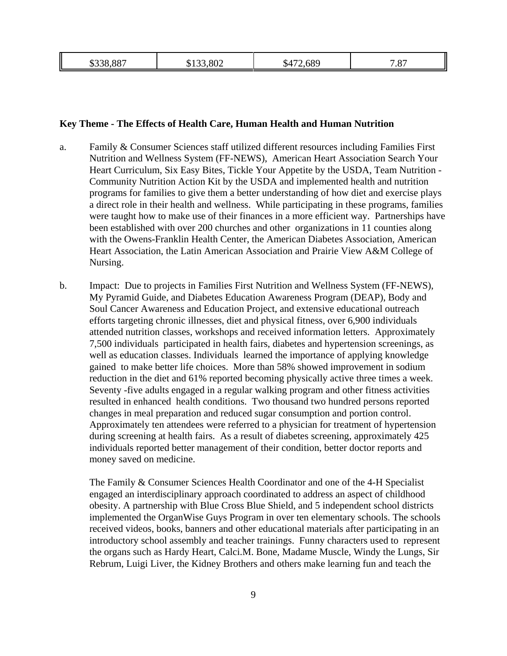| $\mathbf{u}$ | æ | $\sim$ | '.87 |
|--------------|---|--------|------|
| . .          |   | .D4    | −    |
|              |   |        |      |

#### **Key Theme - The Effects of Health Care, Human Health and Human Nutrition**

- a. Family & Consumer Sciences staff utilized different resources including Families First Nutrition and Wellness System (FF-NEWS), American Heart Association Search Your Heart Curriculum, Six Easy Bites, Tickle Your Appetite by the USDA, Team Nutrition - Community Nutrition Action Kit by the USDA and implemented health and nutrition programs for families to give them a better understanding of how diet and exercise plays a direct role in their health and wellness. While participating in these programs, families were taught how to make use of their finances in a more efficient way. Partnerships have been established with over 200 churches and other organizations in 11 counties along with the Owens-Franklin Health Center, the American Diabetes Association, American Heart Association, the Latin American Association and Prairie View A&M College of Nursing.
- b. Impact: Due to projects in Families First Nutrition and Wellness System (FF-NEWS), My Pyramid Guide, and Diabetes Education Awareness Program (DEAP), Body and Soul Cancer Awareness and Education Project, and extensive educational outreach efforts targeting chronic illnesses, diet and physical fitness, over 6,900 individuals attended nutrition classes, workshops and received information letters. Approximately 7,500 individuals participated in health fairs, diabetes and hypertension screenings, as well as education classes. Individuals learned the importance of applying knowledge gained to make better life choices. More than 58% showed improvement in sodium reduction in the diet and 61% reported becoming physically active three times a week. Seventy -five adults engaged in a regular walking program and other fitness activities resulted in enhanced health conditions. Two thousand two hundred persons reported changes in meal preparation and reduced sugar consumption and portion control. Approximately ten attendees were referred to a physician for treatment of hypertension during screening at health fairs. As a result of diabetes screening, approximately 425 individuals reported better management of their condition, better doctor reports and money saved on medicine.

The Family & Consumer Sciences Health Coordinator and one of the 4-H Specialist engaged an interdisciplinary approach coordinated to address an aspect of childhood obesity. A partnership with Blue Cross Blue Shield, and 5 independent school districts implemented the OrganWise Guys Program in over ten elementary schools. The schools received videos, books, banners and other educational materials after participating in an introductory school assembly and teacher trainings. Funny characters used to represent the organs such as Hardy Heart, Calci.M. Bone, Madame Muscle, Windy the Lungs, Sir Rebrum, Luigi Liver, the Kidney Brothers and others make learning fun and teach the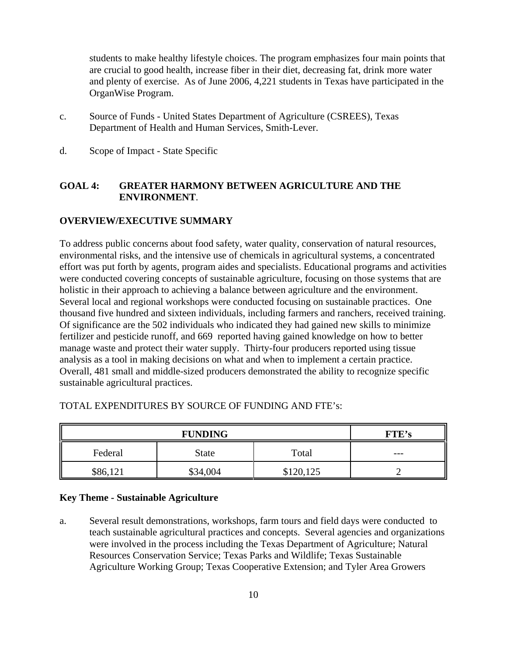students to make healthy lifestyle choices. The program emphasizes four main points that are crucial to good health, increase fiber in their diet, decreasing fat, drink more water and plenty of exercise. As of June 2006, 4,221 students in Texas have participated in the OrganWise Program.

- c. Source of Funds United States Department of Agriculture (CSREES), Texas Department of Health and Human Services, Smith-Lever.
- d. Scope of Impact State Specific

#### **GOAL 4: GREATER HARMONY BETWEEN AGRICULTURE AND THE ENVIRONMENT**.

#### **OVERVIEW/EXECUTIVE SUMMARY**

To address public concerns about food safety, water quality, conservation of natural resources, environmental risks, and the intensive use of chemicals in agricultural systems, a concentrated effort was put forth by agents, program aides and specialists. Educational programs and activities were conducted covering concepts of sustainable agriculture, focusing on those systems that are holistic in their approach to achieving a balance between agriculture and the environment. Several local and regional workshops were conducted focusing on sustainable practices. One thousand five hundred and sixteen individuals, including farmers and ranchers, received training. Of significance are the 502 individuals who indicated they had gained new skills to minimize fertilizer and pesticide runoff, and 669 reported having gained knowledge on how to better manage waste and protect their water supply. Thirty-four producers reported using tissue analysis as a tool in making decisions on what and when to implement a certain practice. Overall, 481 small and middle-sized producers demonstrated the ability to recognize specific sustainable agricultural practices.

| <b>FUNDING</b> |              |         | <b>FTE's</b> |
|----------------|--------------|---------|--------------|
| Federal        | <b>State</b> | Total   | $- - -$      |
| \$86,121       | \$34,004     | 120,125 |              |

#### TOTAL EXPENDITURES BY SOURCE OF FUNDING AND FTE's:

#### **Key Theme - Sustainable Agriculture**

a. Several result demonstrations, workshops, farm tours and field days were conducted to teach sustainable agricultural practices and concepts. Several agencies and organizations were involved in the process including the Texas Department of Agriculture; Natural Resources Conservation Service; Texas Parks and Wildlife; Texas Sustainable Agriculture Working Group; Texas Cooperative Extension; and Tyler Area Growers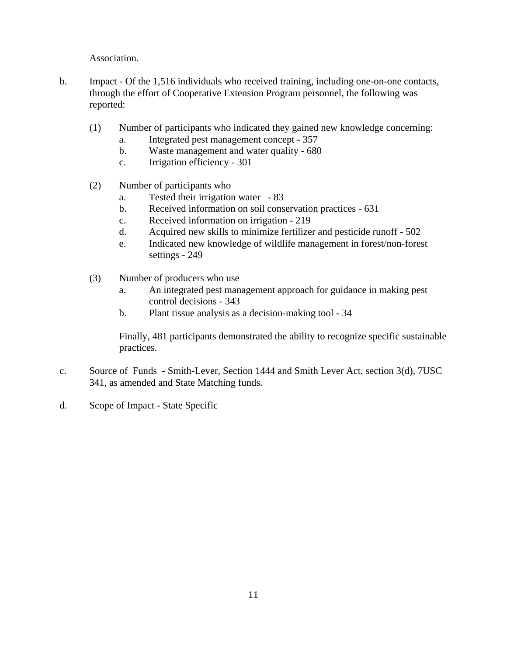Association.

- b. Impact Of the 1,516 individuals who received training, including one-on-one contacts, through the effort of Cooperative Extension Program personnel, the following was reported:
	- (1) Number of participants who indicated they gained new knowledge concerning:
		- a. Integrated pest management concept 357
		- b. Waste management and water quality 680
		- c. Irrigation efficiency 301
	- (2) Number of participants who
		- a. Tested their irrigation water 83
		- b. Received information on soil conservation practices 631
		- c. Received information on irrigation 219
		- d. Acquired new skills to minimize fertilizer and pesticide runoff 502
		- e. Indicated new knowledge of wildlife management in forest/non-forest settings - 249
	- (3) Number of producers who use
		- a. An integrated pest management approach for guidance in making pest control decisions - 343
		- b. Plant tissue analysis as a decision-making tool 34

Finally, 481 participants demonstrated the ability to recognize specific sustainable practices.

- c. Source of Funds Smith-Lever, Section 1444 and Smith Lever Act, section 3(d), 7USC 341, as amended and State Matching funds.
- d. Scope of Impact State Specific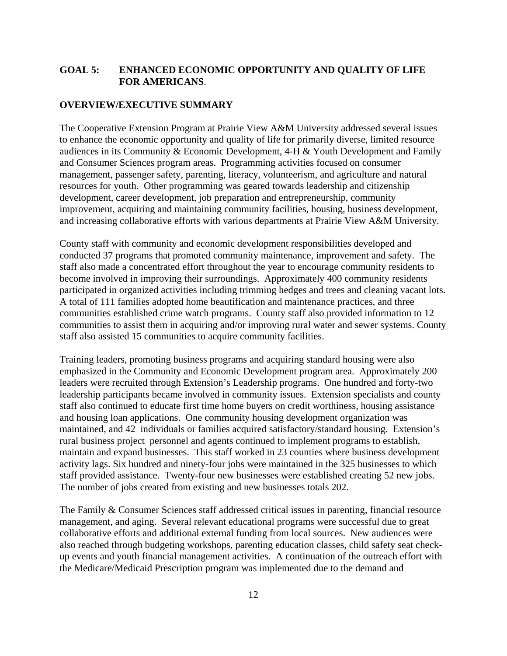#### **GOAL 5: ENHANCED ECONOMIC OPPORTUNITY AND QUALITY OF LIFE FOR AMERICANS**.

#### **OVERVIEW/EXECUTIVE SUMMARY**

The Cooperative Extension Program at Prairie View A&M University addressed several issues to enhance the economic opportunity and quality of life for primarily diverse, limited resource audiences in its Community & Economic Development, 4-H & Youth Development and Family and Consumer Sciences program areas. Programming activities focused on consumer management, passenger safety, parenting, literacy, volunteerism, and agriculture and natural resources for youth. Other programming was geared towards leadership and citizenship development, career development, job preparation and entrepreneurship, community improvement, acquiring and maintaining community facilities, housing, business development, and increasing collaborative efforts with various departments at Prairie View A&M University.

County staff with community and economic development responsibilities developed and conducted 37 programs that promoted community maintenance, improvement and safety. The staff also made a concentrated effort throughout the year to encourage community residents to become involved in improving their surroundings. Approximately 400 community residents participated in organized activities including trimming hedges and trees and cleaning vacant lots. A total of 111 families adopted home beautification and maintenance practices, and three communities established crime watch programs. County staff also provided information to 12 communities to assist them in acquiring and/or improving rural water and sewer systems. County staff also assisted 15 communities to acquire community facilities.

Training leaders, promoting business programs and acquiring standard housing were also emphasized in the Community and Economic Development program area. Approximately 200 leaders were recruited through Extension's Leadership programs. One hundred and forty-two leadership participants became involved in community issues. Extension specialists and county staff also continued to educate first time home buyers on credit worthiness, housing assistance and housing loan applications. One community housing development organization was maintained, and 42 individuals or families acquired satisfactory/standard housing. Extension's rural business project personnel and agents continued to implement programs to establish, maintain and expand businesses. This staff worked in 23 counties where business development activity lags. Six hundred and ninety-four jobs were maintained in the 325 businesses to which staff provided assistance. Twenty-four new businesses were established creating 52 new jobs. The number of jobs created from existing and new businesses totals 202.

The Family & Consumer Sciences staff addressed critical issues in parenting, financial resource management, and aging. Several relevant educational programs were successful due to great collaborative efforts and additional external funding from local sources. New audiences were also reached through budgeting workshops, parenting education classes, child safety seat checkup events and youth financial management activities. A continuation of the outreach effort with the Medicare/Medicaid Prescription program was implemented due to the demand and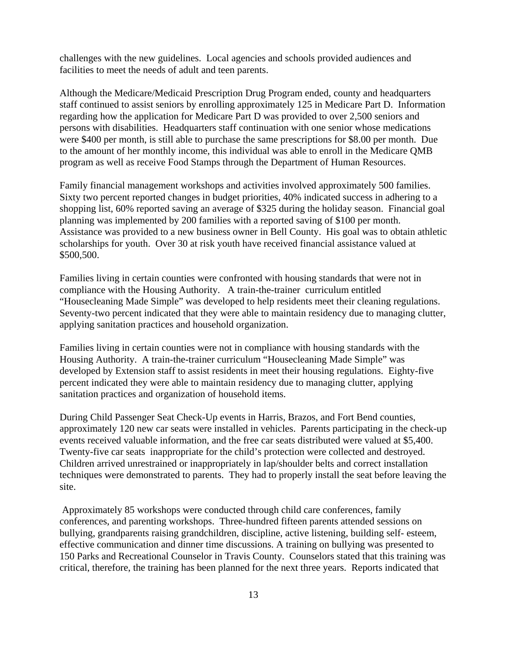challenges with the new guidelines. Local agencies and schools provided audiences and facilities to meet the needs of adult and teen parents.

Although the Medicare/Medicaid Prescription Drug Program ended, county and headquarters staff continued to assist seniors by enrolling approximately 125 in Medicare Part D. Information regarding how the application for Medicare Part D was provided to over 2,500 seniors and persons with disabilities. Headquarters staff continuation with one senior whose medications were \$400 per month, is still able to purchase the same prescriptions for \$8.00 per month. Due to the amount of her monthly income, this individual was able to enroll in the Medicare QMB program as well as receive Food Stamps through the Department of Human Resources.

Family financial management workshops and activities involved approximately 500 families. Sixty two percent reported changes in budget priorities, 40% indicated success in adhering to a shopping list, 60% reported saving an average of \$325 during the holiday season. Financial goal planning was implemented by 200 families with a reported saving of \$100 per month. Assistance was provided to a new business owner in Bell County. His goal was to obtain athletic scholarships for youth. Over 30 at risk youth have received financial assistance valued at \$500,500.

Families living in certain counties were confronted with housing standards that were not in compliance with the Housing Authority. A train-the-trainer curriculum entitled "Housecleaning Made Simple" was developed to help residents meet their cleaning regulations. Seventy-two percent indicated that they were able to maintain residency due to managing clutter, applying sanitation practices and household organization.

Families living in certain counties were not in compliance with housing standards with the Housing Authority. A train-the-trainer curriculum "Housecleaning Made Simple" was developed by Extension staff to assist residents in meet their housing regulations. Eighty-five percent indicated they were able to maintain residency due to managing clutter, applying sanitation practices and organization of household items.

During Child Passenger Seat Check-Up events in Harris, Brazos, and Fort Bend counties, approximately 120 new car seats were installed in vehicles. Parents participating in the check-up events received valuable information, and the free car seats distributed were valued at \$5,400. Twenty-five car seats inappropriate for the child's protection were collected and destroyed. Children arrived unrestrained or inappropriately in lap/shoulder belts and correct installation techniques were demonstrated to parents. They had to properly install the seat before leaving the site.

 Approximately 85 workshops were conducted through child care conferences, family conferences, and parenting workshops. Three-hundred fifteen parents attended sessions on bullying, grandparents raising grandchildren, discipline, active listening, building self- esteem, effective communication and dinner time discussions. A training on bullying was presented to 150 Parks and Recreational Counselor in Travis County. Counselors stated that this training was critical, therefore, the training has been planned for the next three years. Reports indicated that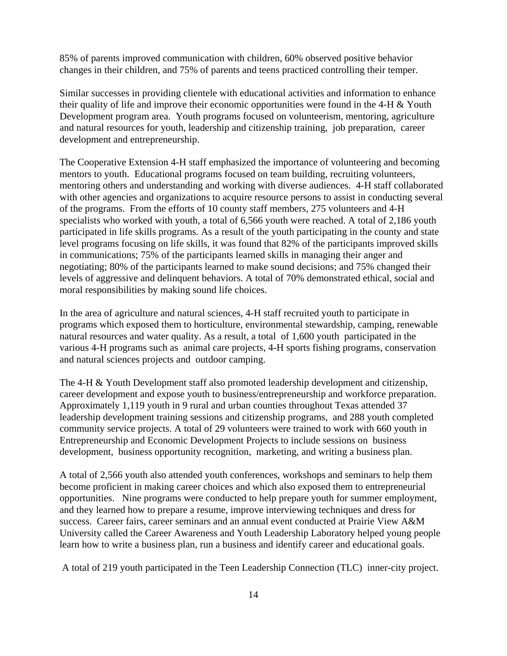85% of parents improved communication with children, 60% observed positive behavior changes in their children, and 75% of parents and teens practiced controlling their temper.

Similar successes in providing clientele with educational activities and information to enhance their quality of life and improve their economic opportunities were found in the 4-H & Youth Development program area. Youth programs focused on volunteerism, mentoring, agriculture and natural resources for youth, leadership and citizenship training, job preparation, career development and entrepreneurship.

The Cooperative Extension 4-H staff emphasized the importance of volunteering and becoming mentors to youth. Educational programs focused on team building, recruiting volunteers, mentoring others and understanding and working with diverse audiences. 4-H staff collaborated with other agencies and organizations to acquire resource persons to assist in conducting several of the programs. From the efforts of 10 county staff members, 275 volunteers and 4-H specialists who worked with youth, a total of 6,566 youth were reached. A total of 2,186 youth participated in life skills programs. As a result of the youth participating in the county and state level programs focusing on life skills, it was found that 82% of the participants improved skills in communications; 75% of the participants learned skills in managing their anger and negotiating; 80% of the participants learned to make sound decisions; and 75% changed their levels of aggressive and delinquent behaviors. A total of 70% demonstrated ethical, social and moral responsibilities by making sound life choices.

In the area of agriculture and natural sciences, 4-H staff recruited youth to participate in programs which exposed them to horticulture, environmental stewardship, camping, renewable natural resources and water quality. As a result, a total of 1,600 youth participated in the various 4-H programs such as animal care projects, 4-H sports fishing programs, conservation and natural sciences projects and outdoor camping.

The 4-H & Youth Development staff also promoted leadership development and citizenship, career development and expose youth to business/entrepreneurship and workforce preparation. Approximately 1,119 youth in 9 rural and urban counties throughout Texas attended 37 leadership development training sessions and citizenship programs, and 288 youth completed community service projects. A total of 29 volunteers were trained to work with 660 youth in Entrepreneurship and Economic Development Projects to include sessions on business development, business opportunity recognition, marketing, and writing a business plan.

A total of 2,566 youth also attended youth conferences, workshops and seminars to help them become proficient in making career choices and which also exposed them to entrepreneurial opportunities. Nine programs were conducted to help prepare youth for summer employment, and they learned how to prepare a resume, improve interviewing techniques and dress for success. Career fairs, career seminars and an annual event conducted at Prairie View A&M University called the Career Awareness and Youth Leadership Laboratory helped young people learn how to write a business plan, run a business and identify career and educational goals.

A total of 219 youth participated in the Teen Leadership Connection (TLC) inner-city project.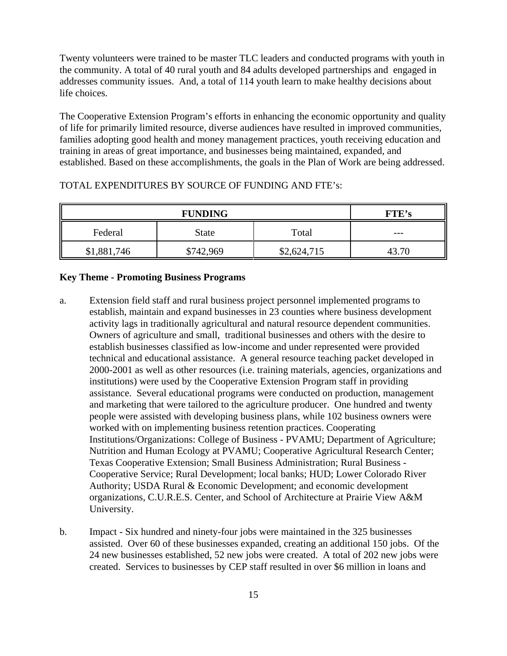Twenty volunteers were trained to be master TLC leaders and conducted programs with youth in the community. A total of 40 rural youth and 84 adults developed partnerships and engaged in addresses community issues. And, a total of 114 youth learn to make healthy decisions about life choices.

The Cooperative Extension Program's efforts in enhancing the economic opportunity and quality of life for primarily limited resource, diverse audiences have resulted in improved communities, families adopting good health and money management practices, youth receiving education and training in areas of great importance, and businesses being maintained, expanded, and established. Based on these accomplishments, the goals in the Plan of Work are being addressed.

| <b>FUNDING</b>   |              |             | FTE's |
|------------------|--------------|-------------|-------|
| Federal          | <b>State</b> | Total       | ---   |
| \$1,881,<br>.746 | \$742,969    | \$2,624,715 | 43.70 |

#### TOTAL EXPENDITURES BY SOURCE OF FUNDING AND FTE's:

#### **Key Theme - Promoting Business Programs**

- a. Extension field staff and rural business project personnel implemented programs to establish, maintain and expand businesses in 23 counties where business development activity lags in traditionally agricultural and natural resource dependent communities. Owners of agriculture and small, traditional businesses and others with the desire to establish businesses classified as low-income and under represented were provided technical and educational assistance. A general resource teaching packet developed in 2000-2001 as well as other resources (i.e. training materials, agencies, organizations and institutions) were used by the Cooperative Extension Program staff in providing assistance. Several educational programs were conducted on production, management and marketing that were tailored to the agriculture producer. One hundred and twenty people were assisted with developing business plans, while 102 business owners were worked with on implementing business retention practices. Cooperating Institutions/Organizations: College of Business - PVAMU; Department of Agriculture; Nutrition and Human Ecology at PVAMU; Cooperative Agricultural Research Center; Texas Cooperative Extension; Small Business Administration; Rural Business - Cooperative Service; Rural Development; local banks; HUD; Lower Colorado River Authority; USDA Rural & Economic Development; and economic development organizations, C.U.R.E.S. Center, and School of Architecture at Prairie View A&M University.
- b. Impact Six hundred and ninety-four jobs were maintained in the 325 businesses assisted. Over 60 of these businesses expanded, creating an additional 150 jobs. Of the 24 new businesses established, 52 new jobs were created. A total of 202 new jobs were created. Services to businesses by CEP staff resulted in over \$6 million in loans and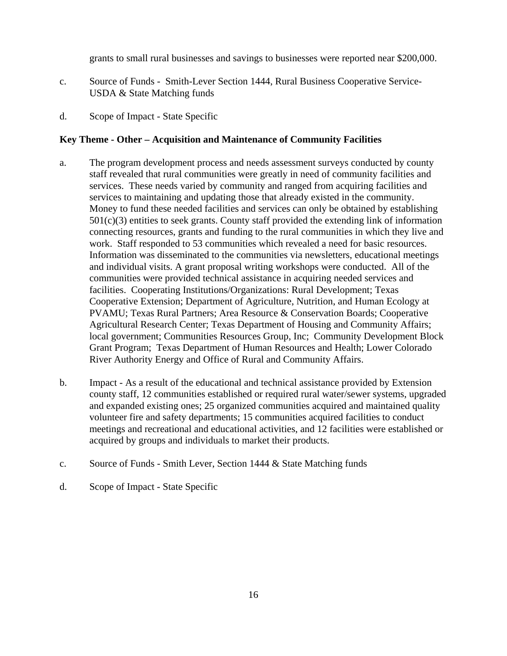grants to small rural businesses and savings to businesses were reported near \$200,000.

- c. Source of Funds Smith-Lever Section 1444, Rural Business Cooperative Service-USDA & State Matching funds
- d. Scope of Impact State Specific

#### **Key Theme - Other – Acquisition and Maintenance of Community Facilities**

- a. The program development process and needs assessment surveys conducted by county staff revealed that rural communities were greatly in need of community facilities and services. These needs varied by community and ranged from acquiring facilities and services to maintaining and updating those that already existed in the community. Money to fund these needed facilities and services can only be obtained by establishing  $501(c)(3)$  entities to seek grants. County staff provided the extending link of information connecting resources, grants and funding to the rural communities in which they live and work. Staff responded to 53 communities which revealed a need for basic resources. Information was disseminated to the communities via newsletters, educational meetings and individual visits. A grant proposal writing workshops were conducted. All of the communities were provided technical assistance in acquiring needed services and facilities. Cooperating Institutions/Organizations: Rural Development; Texas Cooperative Extension; Department of Agriculture, Nutrition, and Human Ecology at PVAMU; Texas Rural Partners; Area Resource & Conservation Boards; Cooperative Agricultural Research Center; Texas Department of Housing and Community Affairs; local government; Communities Resources Group, Inc; Community Development Block Grant Program; Texas Department of Human Resources and Health; Lower Colorado River Authority Energy and Office of Rural and Community Affairs.
- b. Impact As a result of the educational and technical assistance provided by Extension county staff, 12 communities established or required rural water/sewer systems, upgraded and expanded existing ones; 25 organized communities acquired and maintained quality volunteer fire and safety departments; 15 communities acquired facilities to conduct meetings and recreational and educational activities, and 12 facilities were established or acquired by groups and individuals to market their products.
- c. Source of Funds Smith Lever, Section 1444 & State Matching funds
- d. Scope of Impact State Specific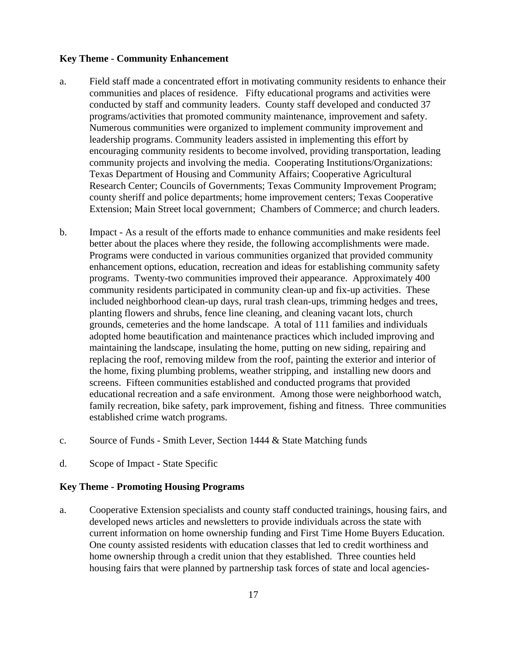#### **Key Theme - Community Enhancement**

- a. Field staff made a concentrated effort in motivating community residents to enhance their communities and places of residence. Fifty educational programs and activities were conducted by staff and community leaders. County staff developed and conducted 37 programs/activities that promoted community maintenance, improvement and safety. Numerous communities were organized to implement community improvement and leadership programs. Community leaders assisted in implementing this effort by encouraging community residents to become involved, providing transportation, leading community projects and involving the media. Cooperating Institutions/Organizations: Texas Department of Housing and Community Affairs; Cooperative Agricultural Research Center; Councils of Governments; Texas Community Improvement Program; county sheriff and police departments; home improvement centers; Texas Cooperative Extension; Main Street local government; Chambers of Commerce; and church leaders.
- b. Impact As a result of the efforts made to enhance communities and make residents feel better about the places where they reside, the following accomplishments were made. Programs were conducted in various communities organized that provided community enhancement options, education, recreation and ideas for establishing community safety programs. Twenty-two communities improved their appearance. Approximately 400 community residents participated in community clean-up and fix-up activities. These included neighborhood clean-up days, rural trash clean-ups, trimming hedges and trees, planting flowers and shrubs, fence line cleaning, and cleaning vacant lots, church grounds, cemeteries and the home landscape. A total of 111 families and individuals adopted home beautification and maintenance practices which included improving and maintaining the landscape, insulating the home, putting on new siding, repairing and replacing the roof, removing mildew from the roof, painting the exterior and interior of the home, fixing plumbing problems, weather stripping, and installing new doors and screens. Fifteen communities established and conducted programs that provided educational recreation and a safe environment. Among those were neighborhood watch, family recreation, bike safety, park improvement, fishing and fitness. Three communities established crime watch programs.
- c. Source of Funds Smith Lever, Section 1444 & State Matching funds
- d. Scope of Impact State Specific

#### **Key Theme - Promoting Housing Programs**

a. Cooperative Extension specialists and county staff conducted trainings, housing fairs, and developed news articles and newsletters to provide individuals across the state with current information on home ownership funding and First Time Home Buyers Education. One county assisted residents with education classes that led to credit worthiness and home ownership through a credit union that they established. Three counties held housing fairs that were planned by partnership task forces of state and local agencies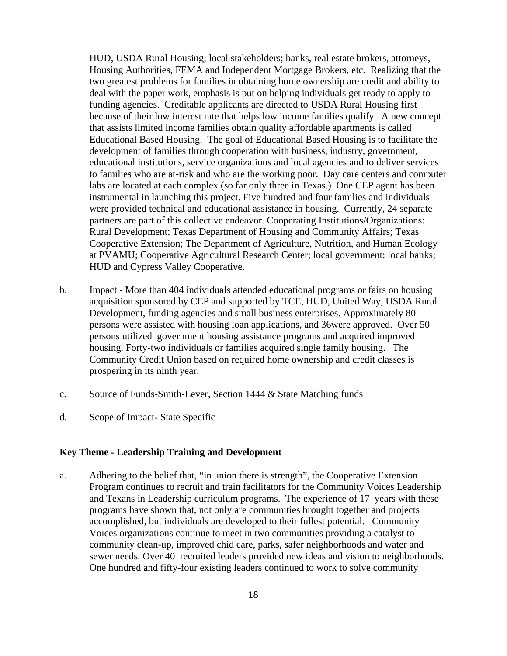HUD, USDA Rural Housing; local stakeholders; banks, real estate brokers, attorneys, Housing Authorities, FEMA and Independent Mortgage Brokers, etc. Realizing that the two greatest problems for families in obtaining home ownership are credit and ability to deal with the paper work, emphasis is put on helping individuals get ready to apply to funding agencies. Creditable applicants are directed to USDA Rural Housing first because of their low interest rate that helps low income families qualify. A new concept that assists limited income families obtain quality affordable apartments is called Educational Based Housing. The goal of Educational Based Housing is to facilitate the development of families through cooperation with business, industry, government, educational institutions, service organizations and local agencies and to deliver services to families who are at-risk and who are the working poor. Day care centers and computer labs are located at each complex (so far only three in Texas.) One CEP agent has been instrumental in launching this project. Five hundred and four families and individuals were provided technical and educational assistance in housing. Currently, 24 separate partners are part of this collective endeavor. Cooperating Institutions/Organizations: Rural Development; Texas Department of Housing and Community Affairs; Texas Cooperative Extension; The Department of Agriculture, Nutrition, and Human Ecology at PVAMU; Cooperative Agricultural Research Center; local government; local banks; HUD and Cypress Valley Cooperative.

- b. Impact More than 404 individuals attended educational programs or fairs on housing acquisition sponsored by CEP and supported by TCE, HUD, United Way, USDA Rural Development, funding agencies and small business enterprises. Approximately 80 persons were assisted with housing loan applications, and 36were approved. Over 50 persons utilized government housing assistance programs and acquired improved housing. Forty-two individuals or families acquired single family housing. The Community Credit Union based on required home ownership and credit classes is prospering in its ninth year.
- c. Source of Funds-Smith-Lever, Section 1444 & State Matching funds
- d. Scope of Impact- State Specific

#### **Key Theme - Leadership Training and Development**

a. Adhering to the belief that, "in union there is strength", the Cooperative Extension Program continues to recruit and train facilitators for the Community Voices Leadership and Texans in Leadership curriculum programs. The experience of 17 years with these programs have shown that, not only are communities brought together and projects accomplished, but individuals are developed to their fullest potential. Community Voices organizations continue to meet in two communities providing a catalyst to community clean-up, improved chid care, parks, safer neighborhoods and water and sewer needs. Over 40 recruited leaders provided new ideas and vision to neighborhoods. One hundred and fifty-four existing leaders continued to work to solve community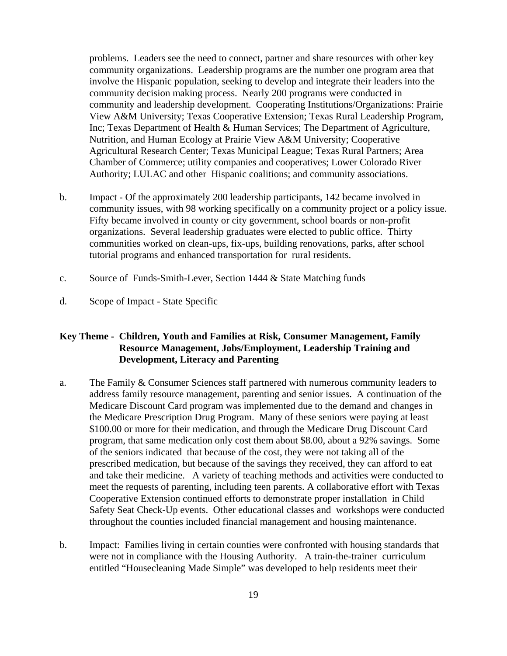problems. Leaders see the need to connect, partner and share resources with other key community organizations. Leadership programs are the number one program area that involve the Hispanic population, seeking to develop and integrate their leaders into the community decision making process. Nearly 200 programs were conducted in community and leadership development. Cooperating Institutions/Organizations: Prairie View A&M University; Texas Cooperative Extension; Texas Rural Leadership Program, Inc; Texas Department of Health & Human Services; The Department of Agriculture, Nutrition, and Human Ecology at Prairie View A&M University; Cooperative Agricultural Research Center; Texas Municipal League; Texas Rural Partners; Area Chamber of Commerce; utility companies and cooperatives; Lower Colorado River Authority; LULAC and other Hispanic coalitions; and community associations.

- b. Impact Of the approximately 200 leadership participants, 142 became involved in community issues, with 98 working specifically on a community project or a policy issue. Fifty became involved in county or city government, school boards or non-profit organizations. Several leadership graduates were elected to public office. Thirty communities worked on clean-ups, fix-ups, building renovations, parks, after school tutorial programs and enhanced transportation for rural residents.
- c. Source of Funds-Smith-Lever, Section 1444 & State Matching funds
- d. Scope of Impact State Specific

#### **Key Theme - Children, Youth and Families at Risk, Consumer Management, Family Resource Management, Jobs/Employment, Leadership Training and Development, Literacy and Parenting**

- a. The Family & Consumer Sciences staff partnered with numerous community leaders to address family resource management, parenting and senior issues. A continuation of the Medicare Discount Card program was implemented due to the demand and changes in the Medicare Prescription Drug Program. Many of these seniors were paying at least \$100.00 or more for their medication, and through the Medicare Drug Discount Card program, that same medication only cost them about \$8.00, about a 92% savings. Some of the seniors indicated that because of the cost, they were not taking all of the prescribed medication, but because of the savings they received, they can afford to eat and take their medicine. A variety of teaching methods and activities were conducted to meet the requests of parenting, including teen parents. A collaborative effort with Texas Cooperative Extension continued efforts to demonstrate proper installation in Child Safety Seat Check-Up events. Other educational classes and workshops were conducted throughout the counties included financial management and housing maintenance.
- b. Impact: Families living in certain counties were confronted with housing standards that were not in compliance with the Housing Authority. A train-the-trainer curriculum entitled "Housecleaning Made Simple" was developed to help residents meet their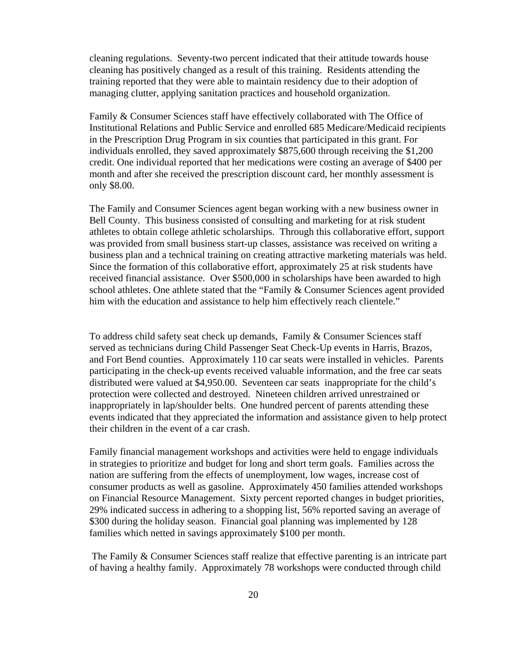cleaning regulations. Seventy-two percent indicated that their attitude towards house cleaning has positively changed as a result of this training. Residents attending the training reported that they were able to maintain residency due to their adoption of managing clutter, applying sanitation practices and household organization.

Family & Consumer Sciences staff have effectively collaborated with The Office of Institutional Relations and Public Service and enrolled 685 Medicare/Medicaid recipients in the Prescription Drug Program in six counties that participated in this grant. For individuals enrolled, they saved approximately \$875,600 through receiving the \$1,200 credit. One individual reported that her medications were costing an average of \$400 per month and after she received the prescription discount card, her monthly assessment is only \$8.00.

 The Family and Consumer Sciences agent began working with a new business owner in Bell County. This business consisted of consulting and marketing for at risk student athletes to obtain college athletic scholarships. Through this collaborative effort, support was provided from small business start-up classes, assistance was received on writing a business plan and a technical training on creating attractive marketing materials was held. Since the formation of this collaborative effort, approximately 25 at risk students have received financial assistance. Over \$500,000 in scholarships have been awarded to high school athletes. One athlete stated that the "Family & Consumer Sciences agent provided him with the education and assistance to help him effectively reach clientele."

To address child safety seat check up demands, Family & Consumer Sciences staff served as technicians during Child Passenger Seat Check-Up events in Harris, Brazos, and Fort Bend counties. Approximately 110 car seats were installed in vehicles. Parents participating in the check-up events received valuable information, and the free car seats distributed were valued at \$4,950.00. Seventeen car seats inappropriate for the child's protection were collected and destroyed. Nineteen children arrived unrestrained or inappropriately in lap/shoulder belts. One hundred percent of parents attending these events indicated that they appreciated the information and assistance given to help protect their children in the event of a car crash.

Family financial management workshops and activities were held to engage individuals in strategies to prioritize and budget for long and short term goals. Families across the nation are suffering from the effects of unemployment, low wages, increase cost of consumer products as well as gasoline. Approximately 450 families attended workshops on Financial Resource Management. Sixty percent reported changes in budget priorities, 29% indicated success in adhering to a shopping list, 56% reported saving an average of \$300 during the holiday season. Financial goal planning was implemented by 128 families which netted in savings approximately \$100 per month.

 The Family & Consumer Sciences staff realize that effective parenting is an intricate part of having a healthy family. Approximately 78 workshops were conducted through child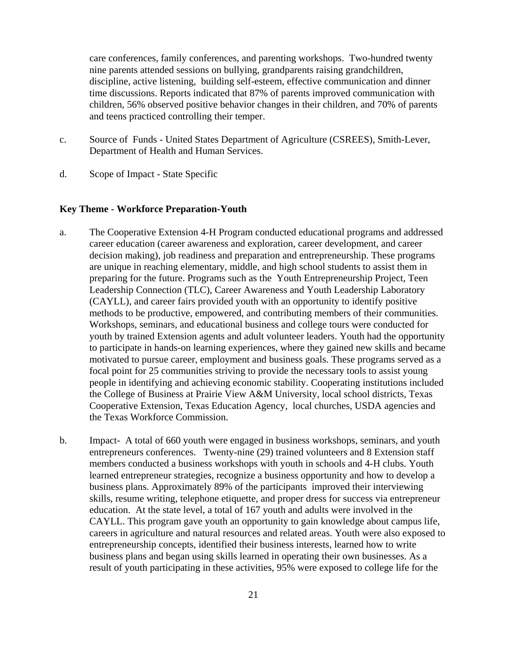care conferences, family conferences, and parenting workshops. Two-hundred twenty nine parents attended sessions on bullying, grandparents raising grandchildren, discipline, active listening, building self-esteem, effective communication and dinner time discussions. Reports indicated that 87% of parents improved communication with children, 56% observed positive behavior changes in their children, and 70% of parents and teens practiced controlling their temper.

- c. Source of Funds United States Department of Agriculture (CSREES), Smith-Lever, Department of Health and Human Services.
- d. Scope of Impact State Specific

#### **Key Theme - Workforce Preparation-Youth**

- a. The Cooperative Extension 4-H Program conducted educational programs and addressed career education (career awareness and exploration, career development, and career decision making), job readiness and preparation and entrepreneurship. These programs are unique in reaching elementary, middle, and high school students to assist them in preparing for the future. Programs such as the Youth Entrepreneurship Project, Teen Leadership Connection (TLC), Career Awareness and Youth Leadership Laboratory (CAYLL), and career fairs provided youth with an opportunity to identify positive methods to be productive, empowered, and contributing members of their communities. Workshops, seminars, and educational business and college tours were conducted for youth by trained Extension agents and adult volunteer leaders. Youth had the opportunity to participate in hands-on learning experiences, where they gained new skills and became motivated to pursue career, employment and business goals. These programs served as a focal point for 25 communities striving to provide the necessary tools to assist young people in identifying and achieving economic stability. Cooperating institutions included the College of Business at Prairie View A&M University, local school districts, Texas Cooperative Extension, Texas Education Agency, local churches, USDA agencies and the Texas Workforce Commission.
- b. Impact- A total of 660 youth were engaged in business workshops, seminars, and youth entrepreneurs conferences. Twenty-nine (29) trained volunteers and 8 Extension staff members conducted a business workshops with youth in schools and 4-H clubs. Youth learned entrepreneur strategies, recognize a business opportunity and how to develop a business plans. Approximately 89% of the participants improved their interviewing skills, resume writing, telephone etiquette, and proper dress for success via entrepreneur education. At the state level, a total of 167 youth and adults were involved in the CAYLL. This program gave youth an opportunity to gain knowledge about campus life, careers in agriculture and natural resources and related areas. Youth were also exposed to entrepreneurship concepts, identified their business interests, learned how to write business plans and began using skills learned in operating their own businesses. As a result of youth participating in these activities, 95% were exposed to college life for the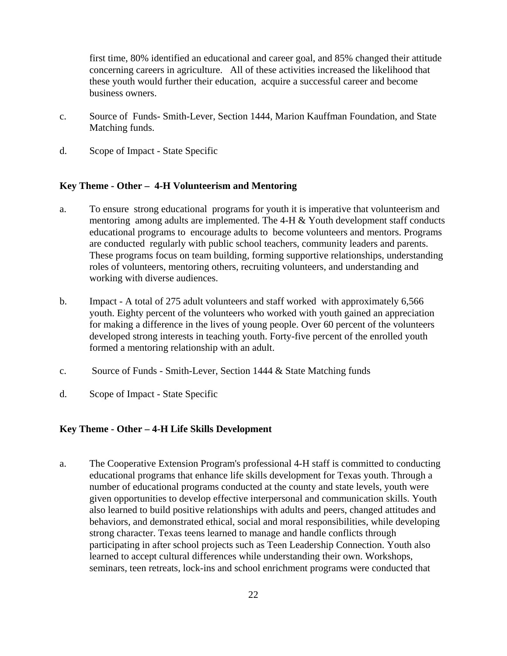first time, 80% identified an educational and career goal, and 85% changed their attitude concerning careers in agriculture. All of these activities increased the likelihood that these youth would further their education, acquire a successful career and become business owners.

- c. Source of Funds- Smith-Lever, Section 1444, Marion Kauffman Foundation, and State Matching funds.
- d. Scope of Impact State Specific

#### **Key Theme - Other – 4-H Volunteerism and Mentoring**

- a. To ensure strong educational programs for youth it is imperative that volunteerism and mentoring among adults are implemented. The  $4-H &$  Youth development staff conducts educational programs to encourage adults to become volunteers and mentors. Programs are conducted regularly with public school teachers, community leaders and parents. These programs focus on team building, forming supportive relationships, understanding roles of volunteers, mentoring others, recruiting volunteers, and understanding and working with diverse audiences.
- b. Impact A total of 275 adult volunteers and staff worked with approximately 6,566 youth. Eighty percent of the volunteers who worked with youth gained an appreciation for making a difference in the lives of young people. Over 60 percent of the volunteers developed strong interests in teaching youth. Forty-five percent of the enrolled youth formed a mentoring relationship with an adult.
- c. Source of Funds Smith-Lever, Section 1444 & State Matching funds
- d. Scope of Impact State Specific

#### **Key Theme - Other – 4-H Life Skills Development**

a. The Cooperative Extension Program's professional 4-H staff is committed to conducting educational programs that enhance life skills development for Texas youth. Through a number of educational programs conducted at the county and state levels, youth were given opportunities to develop effective interpersonal and communication skills. Youth also learned to build positive relationships with adults and peers, changed attitudes and behaviors, and demonstrated ethical, social and moral responsibilities, while developing strong character. Texas teens learned to manage and handle conflicts through participating in after school projects such as Teen Leadership Connection. Youth also learned to accept cultural differences while understanding their own. Workshops, seminars, teen retreats, lock-ins and school enrichment programs were conducted that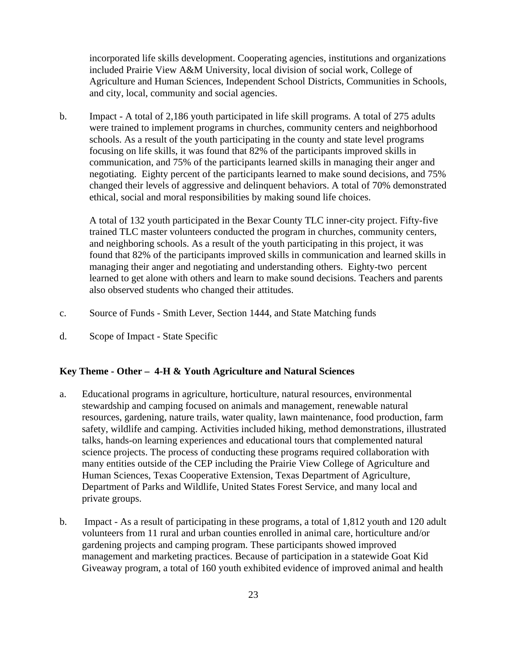incorporated life skills development. Cooperating agencies, institutions and organizations included Prairie View A&M University, local division of social work, College of Agriculture and Human Sciences, Independent School Districts, Communities in Schools, and city, local, community and social agencies.

b. Impact - A total of 2,186 youth participated in life skill programs. A total of 275 adults were trained to implement programs in churches, community centers and neighborhood schools. As a result of the youth participating in the county and state level programs focusing on life skills, it was found that 82% of the participants improved skills in communication, and 75% of the participants learned skills in managing their anger and negotiating. Eighty percent of the participants learned to make sound decisions, and 75% changed their levels of aggressive and delinquent behaviors. A total of 70% demonstrated ethical, social and moral responsibilities by making sound life choices.

A total of 132 youth participated in the Bexar County TLC inner-city project. Fifty-five trained TLC master volunteers conducted the program in churches, community centers, and neighboring schools. As a result of the youth participating in this project, it was found that 82% of the participants improved skills in communication and learned skills in managing their anger and negotiating and understanding others. Eighty-two percent learned to get alone with others and learn to make sound decisions. Teachers and parents also observed students who changed their attitudes.

- c. Source of Funds Smith Lever, Section 1444, and State Matching funds
- d. Scope of Impact State Specific

#### **Key Theme - Other – 4-H & Youth Agriculture and Natural Sciences**

- a. Educational programs in agriculture, horticulture, natural resources, environmental stewardship and camping focused on animals and management, renewable natural resources, gardening, nature trails, water quality, lawn maintenance, food production, farm safety, wildlife and camping. Activities included hiking, method demonstrations, illustrated talks, hands-on learning experiences and educational tours that complemented natural science projects. The process of conducting these programs required collaboration with many entities outside of the CEP including the Prairie View College of Agriculture and Human Sciences, Texas Cooperative Extension, Texas Department of Agriculture, Department of Parks and Wildlife, United States Forest Service, and many local and private groups.
- b. Impact As a result of participating in these programs, a total of 1,812 youth and 120 adult volunteers from 11 rural and urban counties enrolled in animal care, horticulture and/or gardening projects and camping program. These participants showed improved management and marketing practices. Because of participation in a statewide Goat Kid Giveaway program, a total of 160 youth exhibited evidence of improved animal and health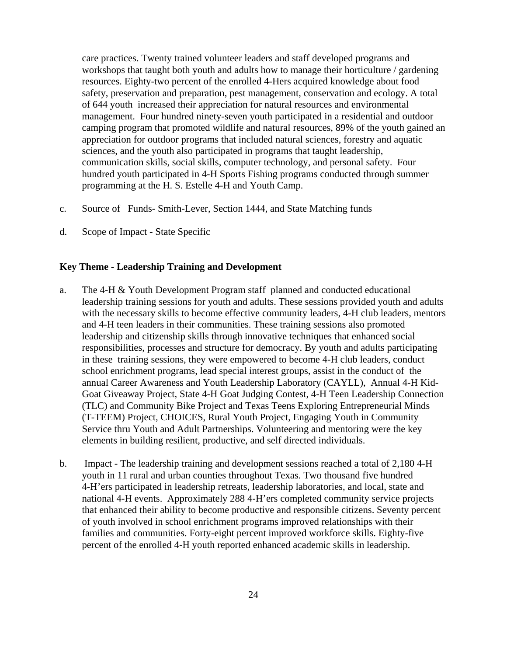care practices. Twenty trained volunteer leaders and staff developed programs and workshops that taught both youth and adults how to manage their horticulture / gardening resources. Eighty-two percent of the enrolled 4-Hers acquired knowledge about food safety, preservation and preparation, pest management, conservation and ecology. A total of 644 youth increased their appreciation for natural resources and environmental management. Four hundred ninety-seven youth participated in a residential and outdoor camping program that promoted wildlife and natural resources, 89% of the youth gained an appreciation for outdoor programs that included natural sciences, forestry and aquatic sciences, and the youth also participated in programs that taught leadership, communication skills, social skills, computer technology, and personal safety. Four hundred youth participated in 4-H Sports Fishing programs conducted through summer programming at the H. S. Estelle 4-H and Youth Camp.

- c. Source of Funds- Smith-Lever, Section 1444, and State Matching funds
- d. Scope of Impact State Specific

#### **Key Theme - Leadership Training and Development**

- a. The 4-H & Youth Development Program staff planned and conducted educational leadership training sessions for youth and adults. These sessions provided youth and adults with the necessary skills to become effective community leaders, 4-H club leaders, mentors and 4-H teen leaders in their communities. These training sessions also promoted leadership and citizenship skills through innovative techniques that enhanced social responsibilities, processes and structure for democracy. By youth and adults participating in these training sessions, they were empowered to become 4-H club leaders, conduct school enrichment programs, lead special interest groups, assist in the conduct of the annual Career Awareness and Youth Leadership Laboratory (CAYLL), Annual 4-H Kid-Goat Giveaway Project, State 4-H Goat Judging Contest, 4-H Teen Leadership Connection (TLC) and Community Bike Project and Texas Teens Exploring Entrepreneurial Minds (T-TEEM) Project, CHOICES, Rural Youth Project, Engaging Youth in Community Service thru Youth and Adult Partnerships. Volunteering and mentoring were the key elements in building resilient, productive, and self directed individuals.
- b. Impact The leadership training and development sessions reached a total of 2,180 4-H youth in 11 rural and urban counties throughout Texas. Two thousand five hundred 4-H'ers participated in leadership retreats, leadership laboratories, and local, state and national 4-H events. Approximately 288 4-H'ers completed community service projects that enhanced their ability to become productive and responsible citizens. Seventy percent of youth involved in school enrichment programs improved relationships with their families and communities. Forty-eight percent improved workforce skills. Eighty-five percent of the enrolled 4-H youth reported enhanced academic skills in leadership.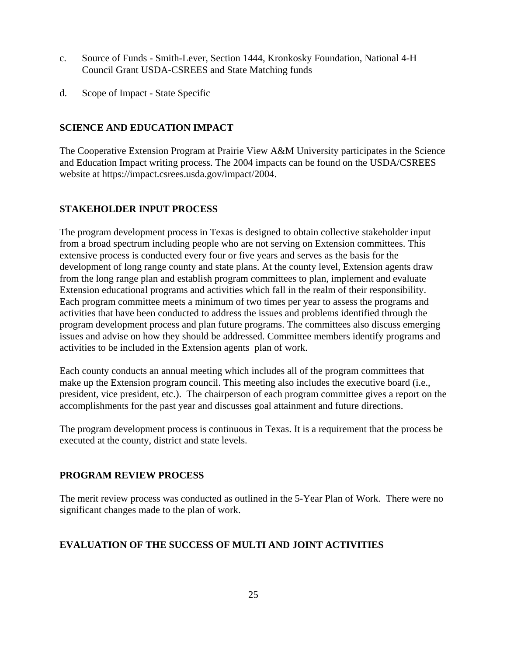- c. Source of Funds Smith-Lever, Section 1444, Kronkosky Foundation, National 4-H Council Grant USDA-CSREES and State Matching funds
- d. Scope of Impact State Specific

#### **SCIENCE AND EDUCATION IMPACT**

The Cooperative Extension Program at Prairie View A&M University participates in the Science and Education Impact writing process. The 2004 impacts can be found on the USDA/CSREES website at https://impact.csrees.usda.gov/impact/2004.

#### **STAKEHOLDER INPUT PROCESS**

The program development process in Texas is designed to obtain collective stakeholder input from a broad spectrum including people who are not serving on Extension committees. This extensive process is conducted every four or five years and serves as the basis for the development of long range county and state plans. At the county level, Extension agents draw from the long range plan and establish program committees to plan, implement and evaluate Extension educational programs and activities which fall in the realm of their responsibility. Each program committee meets a minimum of two times per year to assess the programs and activities that have been conducted to address the issues and problems identified through the program development process and plan future programs. The committees also discuss emerging issues and advise on how they should be addressed. Committee members identify programs and activities to be included in the Extension agents plan of work.

Each county conducts an annual meeting which includes all of the program committees that make up the Extension program council. This meeting also includes the executive board (i.e., president, vice president, etc.). The chairperson of each program committee gives a report on the accomplishments for the past year and discusses goal attainment and future directions.

The program development process is continuous in Texas. It is a requirement that the process be executed at the county, district and state levels.

#### **PROGRAM REVIEW PROCESS**

The merit review process was conducted as outlined in the 5-Year Plan of Work. There were no significant changes made to the plan of work.

#### **EVALUATION OF THE SUCCESS OF MULTI AND JOINT ACTIVITIES**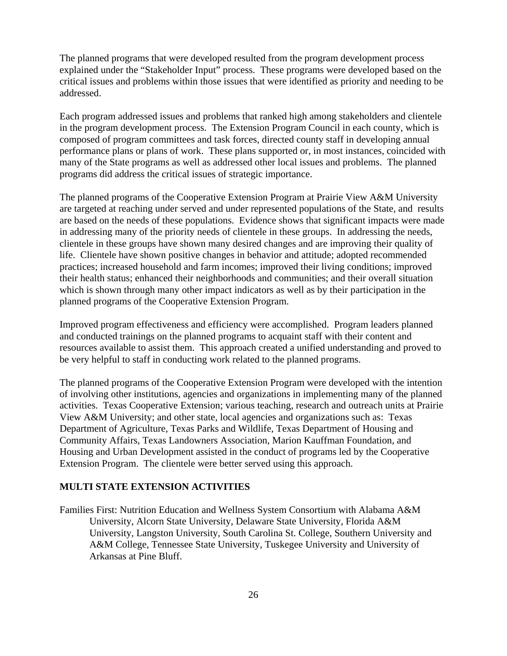The planned programs that were developed resulted from the program development process explained under the "Stakeholder Input" process. These programs were developed based on the critical issues and problems within those issues that were identified as priority and needing to be addressed.

Each program addressed issues and problems that ranked high among stakeholders and clientele in the program development process. The Extension Program Council in each county, which is composed of program committees and task forces, directed county staff in developing annual performance plans or plans of work. These plans supported or, in most instances, coincided with many of the State programs as well as addressed other local issues and problems. The planned programs did address the critical issues of strategic importance.

The planned programs of the Cooperative Extension Program at Prairie View A&M University are targeted at reaching under served and under represented populations of the State, and results are based on the needs of these populations. Evidence shows that significant impacts were made in addressing many of the priority needs of clientele in these groups. In addressing the needs, clientele in these groups have shown many desired changes and are improving their quality of life. Clientele have shown positive changes in behavior and attitude; adopted recommended practices; increased household and farm incomes; improved their living conditions; improved their health status; enhanced their neighborhoods and communities; and their overall situation which is shown through many other impact indicators as well as by their participation in the planned programs of the Cooperative Extension Program.

Improved program effectiveness and efficiency were accomplished. Program leaders planned and conducted trainings on the planned programs to acquaint staff with their content and resources available to assist them. This approach created a unified understanding and proved to be very helpful to staff in conducting work related to the planned programs.

The planned programs of the Cooperative Extension Program were developed with the intention of involving other institutions, agencies and organizations in implementing many of the planned activities. Texas Cooperative Extension; various teaching, research and outreach units at Prairie View A&M University; and other state, local agencies and organizations such as: Texas Department of Agriculture, Texas Parks and Wildlife, Texas Department of Housing and Community Affairs, Texas Landowners Association, Marion Kauffman Foundation, and Housing and Urban Development assisted in the conduct of programs led by the Cooperative Extension Program. The clientele were better served using this approach.

#### **MULTI STATE EXTENSION ACTIVITIES**

Families First: Nutrition Education and Wellness System Consortium with Alabama A&M University, Alcorn State University, Delaware State University, Florida A&M University, Langston University, South Carolina St. College, Southern University and A&M College, Tennessee State University, Tuskegee University and University of Arkansas at Pine Bluff.